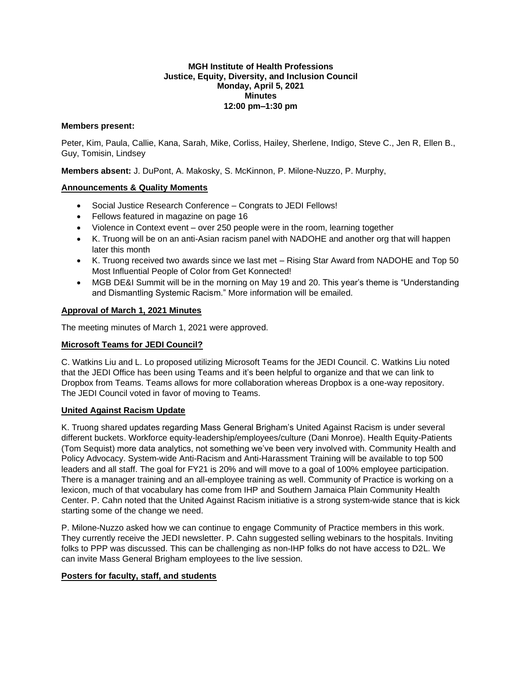## **MGH Institute of Health Professions Justice, Equity, Diversity, and Inclusion Council Monday, April 5, 2021 Minutes 12:00 pm–1:30 pm**

## **Members present:**

Peter, Kim, Paula, Callie, Kana, Sarah, Mike, Corliss, Hailey, Sherlene, Indigo, Steve C., Jen R, Ellen B., Guy, Tomisin, Lindsey

**Members absent:** J. DuPont, A. Makosky, S. McKinnon, P. Milone-Nuzzo, P. Murphy,

## **Announcements & Quality Moments**

- Social Justice Research Conference Congrats to JEDI Fellows!
- Fellows featured in magazine on page 16
- Violence in Context event over 250 people were in the room, learning together
- K. Truong will be on an anti-Asian racism panel with NADOHE and another org that will happen later this month
- K. Truong received two awards since we last met Rising Star Award from NADOHE and Top 50 Most Influential People of Color from Get Konnected!
- MGB DE&I Summit will be in the morning on May 19 and 20. This year's theme is "Understanding and Dismantling Systemic Racism." More information will be emailed.

#### **Approval of March 1, 2021 Minutes**

The meeting minutes of March 1, 2021 were approved.

#### **Microsoft Teams for JEDI Council?**

C. Watkins Liu and L. Lo proposed utilizing Microsoft Teams for the JEDI Council. C. Watkins Liu noted that the JEDI Office has been using Teams and it's been helpful to organize and that we can link to Dropbox from Teams. Teams allows for more collaboration whereas Dropbox is a one-way repository. The JEDI Council voted in favor of moving to Teams.

#### **United Against Racism Update**

K. Truong shared updates regarding Mass General Brigham's United Against Racism is under several different buckets. Workforce equity-leadership/employees/culture (Dani Monroe). Health Equity-Patients (Tom Sequist) more data analytics, not something we've been very involved with. Community Health and Policy Advocacy. System-wide Anti-Racism and Anti-Harassment Training will be available to top 500 leaders and all staff. The goal for FY21 is 20% and will move to a goal of 100% employee participation. There is a manager training and an all-employee training as well. Community of Practice is working on a lexicon, much of that vocabulary has come from IHP and Southern Jamaica Plain Community Health Center. P. Cahn noted that the United Against Racism initiative is a strong system-wide stance that is kick starting some of the change we need.

P. Milone-Nuzzo asked how we can continue to engage Community of Practice members in this work. They currently receive the JEDI newsletter. P. Cahn suggested selling webinars to the hospitals. Inviting folks to PPP was discussed. This can be challenging as non-IHP folks do not have access to D2L. We can invite Mass General Brigham employees to the live session.

#### **Posters for faculty, staff, and students**